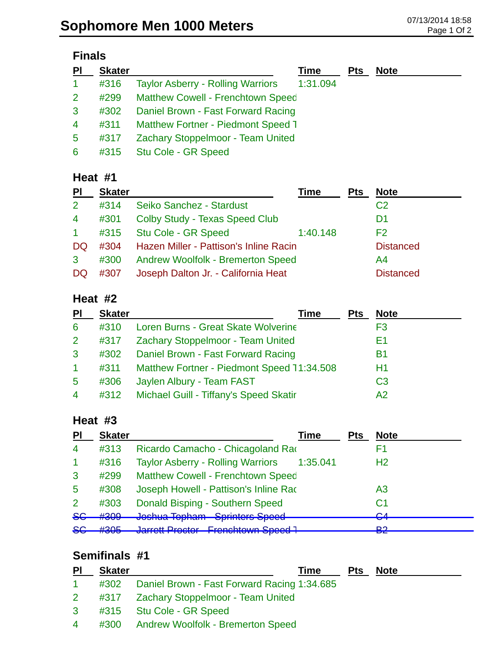#### **Finals**

| PI             | <b>Skater</b> |                                           | Time     | <b>Pts</b> | <b>Note</b> |
|----------------|---------------|-------------------------------------------|----------|------------|-------------|
| $\mathbf{1}$   | #316          | <b>Taylor Asberry - Rolling Warriors</b>  | 1:31.094 |            |             |
| 2 <sup>1</sup> | #299          | <b>Matthew Cowell - Frenchtown Speed</b>  |          |            |             |
| 3              | #302          | Daniel Brown - Fast Forward Racing        |          |            |             |
| $\overline{4}$ | #311          | <b>Matthew Fortner - Piedmont Speed T</b> |          |            |             |
| 5              | #317          | Zachary Stoppelmoor - Team United         |          |            |             |
| 6              | #315          | Stu Cole - GR Speed                       |          |            |             |

### **Heat #1**

| PI             | <b>Skater</b> |                                          | Time     | <b>Pts</b> | <b>Note</b>      |
|----------------|---------------|------------------------------------------|----------|------------|------------------|
| 2              | #314          | Seiko Sanchez - Stardust                 |          |            | C <sub>2</sub>   |
| $\overline{4}$ | #301          | Colby Study - Texas Speed Club           |          |            | D1               |
| $\mathbf{1}$   | #315          | Stu Cole - GR Speed                      | 1:40.148 |            | F2               |
| DQ             | #304          | Hazen Miller - Pattison's Inline Racin   |          |            | <b>Distanced</b> |
| 3              | #300          | <b>Andrew Woolfolk - Bremerton Speed</b> |          |            | A4               |
| DQ             | #307          | Joseph Dalton Jr. - California Heat      |          |            | <b>Distanced</b> |

## **Heat #2**

| PI              | <b>Skater</b> | Time                                        | <b>Pts</b> | <b>Note</b>    |
|-----------------|---------------|---------------------------------------------|------------|----------------|
| 6               | #310          | Loren Burns - Great Skate Wolverine         |            | F3             |
| $\mathbf{2}$    | #317          | <b>Zachary Stoppelmoor - Team United</b>    |            | E1             |
| 3               | #302          | Daniel Brown - Fast Forward Racing          |            | B1             |
|                 | #311          | Matthew Fortner - Piedmont Speed 11:34.508  |            | H1             |
| $5\overline{)}$ | #306          | Jaylen Albury - Team FAST                   |            | C <sub>3</sub> |
| 4               |               | #312 Michael Guill - Tiffany's Speed Skatir |            | A2             |

## **Heat #3**

| PI             | <b>Skater</b> | Time                                                            | <b>Pts</b> | <b>Note</b>    |
|----------------|---------------|-----------------------------------------------------------------|------------|----------------|
| $\overline{4}$ | #313          | Ricardo Camacho - Chicagoland Rao                               |            | F1             |
|                | #316          | <b>Taylor Asberry - Rolling Warriors</b><br>1:35.041            |            | H <sub>2</sub> |
| 3              | #299          | <b>Matthew Cowell - Frenchtown Speed</b>                        |            |                |
| 5              | #308          | Joseph Howell - Pattison's Inline Rad                           |            | A3             |
| $\mathcal{P}$  | #303          | Donald Bisping - Southern Speed                                 |            | C1             |
| 86             | #309          | Joshua Topham - Sprinters Speed<br><u>voonaa Topham</u>         |            | rл<br>ॼॼ       |
| SE             | H20E<br>ᡣᢦᢦᢦ  | Jarrott Proctor - Franchtown Spood 1<br><u>TUNUMUWIN UPUU T</u> |            | בים<br>▱▱      |

# **Semifinals #1**

| P <sub>l</sub> | <b>Skater</b> | Time                                             | <b>Pts</b> | <b>Note</b> |
|----------------|---------------|--------------------------------------------------|------------|-------------|
| $\mathbf{1}$   |               | #302 Daniel Brown - Fast Forward Racing 1:34.685 |            |             |
|                |               | 2 #317 Zachary Stoppelmoor - Team United         |            |             |
|                |               | 3 #315 Stu Cole - GR Speed                       |            |             |
| $\overline{4}$ |               | #300 Andrew Woolfolk - Bremerton Speed           |            |             |